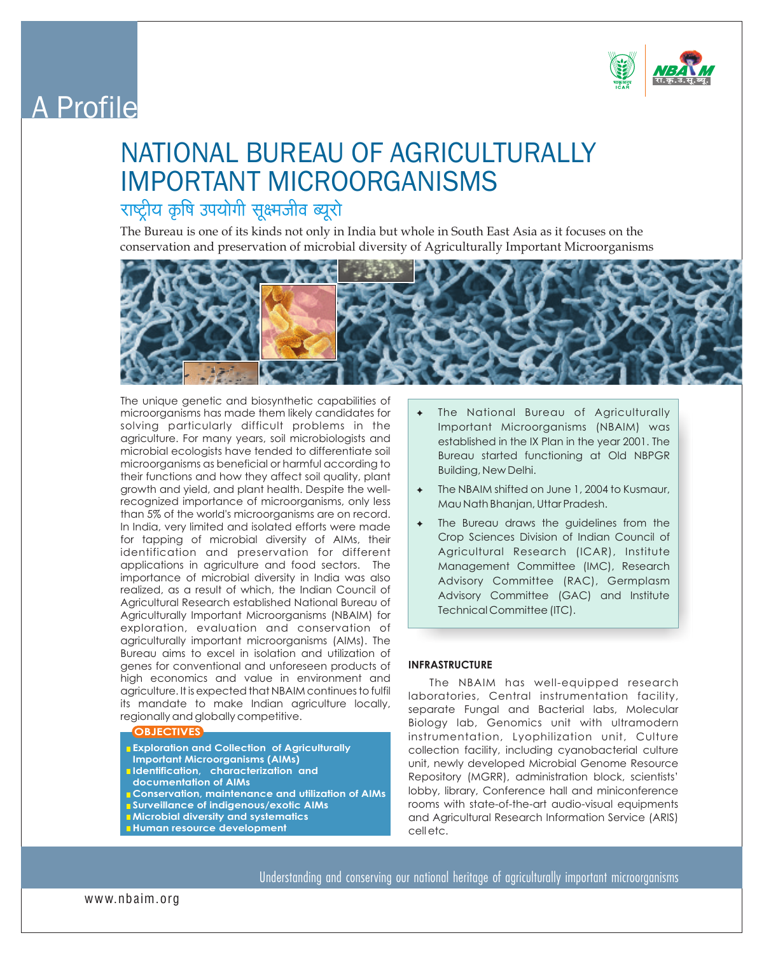

# A Profile

## NATIONAL BUREAU OF AGRICULTURALLY IMPORTANT MICROORGANISMS

## राष्ट्रीय कृषि उपयोगी सूक्ष्मजीव ब्यूरो

The Bureau is one of its kinds not only in India but whole in South East Asia as it focuses on the conservation and preservation of microbial diversity of Agriculturally Important Microorganisms



The unique genetic and biosynthetic capabilities of microorganisms has made them likely candidates for solving particularly difficult problems in the agriculture. For many years, soil microbiologists and microbial ecologists have tended to differentiate soil microorganisms as beneficial or harmful according to their functions and how they affect soil quality, plant growth and yield, and plant health. Despite the wellrecognized importance of microorganisms, only less than 5% of the world's microorganisms are on record. In India, very limited and isolated efforts were made for tapping of microbial diversity of AIMs, their identification and preservation for different applications in agriculture and food sectors. The importance of microbial diversity in India was also realized, as a result of which, the Indian Council of Agricultural Research established National Bureau of Agriculturally Important Microorganisms (NBAIM) for exploration, evaluation and conservation of agriculturally important microorganisms (AIMs). The Bureau aims to excel in isolation and utilization of genes for conventional and unforeseen products of high economics and value in environment and agriculture. It is expected that NBAIM continues to fulfil its mandate to make Indian agriculture locally, regionally and globally competitive.

## **OBJECTIVES**

- **Exploration and Collection of Agriculturally Important Microorganisms (AIMs) Identification, characterization and**
- **documentation of AIMs**
- **Conservation, maintenance and utilization of AIMs Surveillance of indigenous/exotic AIMs**
- **Microbial diversity and systematics**
- **Human resource development**
- The National Bureau of Agriculturally Important Microorganisms (NBAIM) was established in the IX Plan in the year 2001. The Bureau started functioning at Old NBPGR Building, New Delhi.
- ✦ The NBAIM shifted on June 1, 2004 to Kusmaur, Mau Nath Bhanjan, Uttar Pradesh.
- ✦ The Bureau draws the guidelines from the Crop Sciences Division of Indian Council of Agricultural Research (ICAR), Institute Management Committee (IMC), Research Advisory Committee (RAC), Germplasm Advisory Committee (GAC) and Institute Technical Committee (ITC).

## **INFRASTRUCTURE**

The NBAIM has well-equipped research laboratories, Central instrumentation facility, separate Fungal and Bacterial labs, Molecular Biology lab, Genomics unit with ultramodern instrumentation, Lyophilization unit, Culture collection facility, including cyanobacterial culture unit, newly developed Microbial Genome Resource Repository (MGRR), administration block, scientists' lobby, library, Conference hall and miniconference rooms with state-of-the-art audio-visual equipments and Agricultural Research Information Service (ARIS) cell etc.

Understanding and conserving our national heritage of agriculturally important microorganisms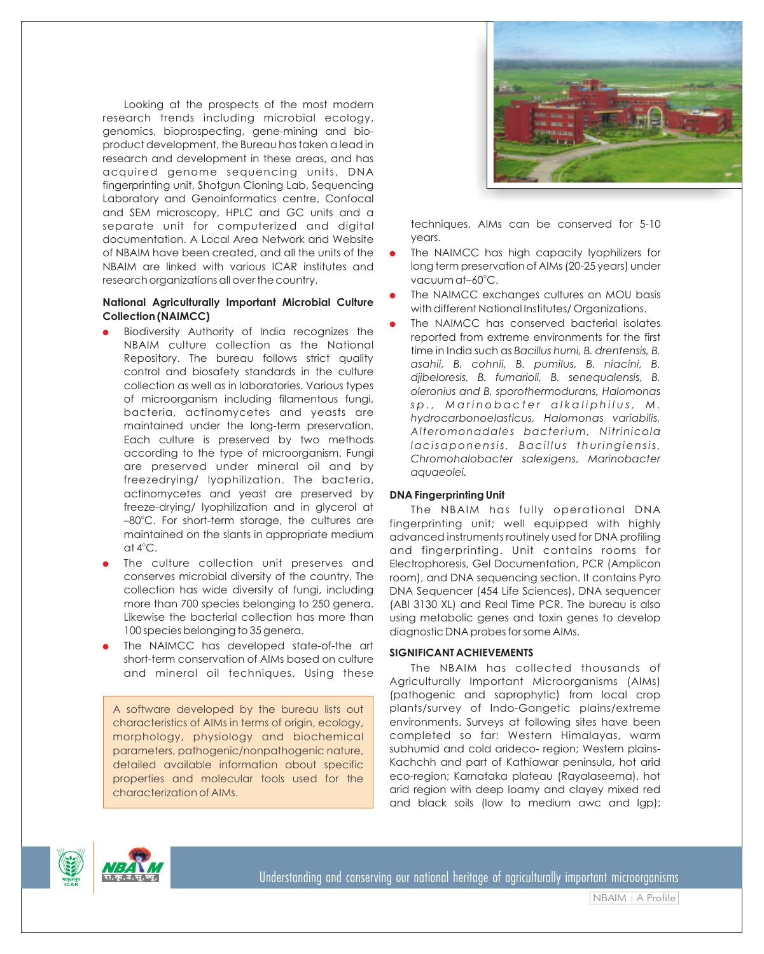Looking at the prospects of the most modern research trends including microbial ecology, genomics, bioprospecting, gene-mining and bioproduct development, the Bureau has taken a lead in research and development in these areas, and has acquired genome sequencing units, DNA fingerprinting unit, Shotgun Cloning Lab, Sequencing Laboratory and Genoinformatics centre, Confocal and SEM microscopy, HPLC and GC units and a separate unit for computerized and digital documentation. A Local Area Network and Website of NBAIM have been created, and all the units of the NBAIM are linked with various ICAR institutes and research organizations all over the country.

## **National Agriculturally Important Microbial Culture Collection (NAIMCC)**

- Biodiversity Authority of India recognizes the NBAIM culture collection as the National Repository. The bureau follows strict quality control and biosafety standards in the culture collection as well as in laboratories. Various types of microorganism including filamentous fungi, bacteria, actinomycetes and yeasts are maintained under the long-term preservation. Each culture is preserved by two methods according to the type of microorganism. Fungi are preserved under mineral oil and by freezedrying/ lyophilization. The bacteria, actinomycetes and yeast are preserved by freeze-drying/ lyophilization and in glycerol at -80°C. For short-term storage, the cultures are maintained on the slants in appropriate medium  $at 4^{\circ}C.$
- The culture collection unit preserves and conserves microbial diversity of the country. The collection has wide diversity of fungi, including more than 700 species belonging to 250 genera. Likewise the bacterial collection has more than 100 species belonging to 35 genera.
- The NAIMCC has developed state-of-the art short-term conservation of AIMs based on culture and mineral oil techniques. Using these

A software developed by the bureau lists out characteristics of AIMs in terms of origin, ecology, morphology, physiology and biochemical parameters, pathogenic/nonpathogenic nature, detailed available information about specific properties and molecular tools used for the characterization of AIMs.



techniques, AIMs can be conserved for 5-10 years.

- The NAIMCC has high capacity lyophilizers for long term preservation of AIMs (20-25 years) under vacuum at–60°C.
- The NAIMCC exchanges cultures on MOU basis with different National Institutes/ Organizations.
- The NAIMCC has conserved bacterial isolates reported from extreme environments for the first time in India such as *Bacillus humi, B. drentensis, B. asahii, B. cohnii, B. pumilus, B. niacini, B. djibeloresis, B. fumarioli, B. senequalensis, B. oleronius and B. sporothermodurans, Halomonas*  sp., Marinobacter alkaliphilus, M. *hydrocarbonoelasticus, Halomonas variabilis, Alteromonadales bacterium, Nitrinicola lacisaponensis, Baci l lus thuringiensis, Chromohalobacter salexigens, Marinobacter aquaeolei.*

## **DNA Fingerprinting Unit**

The NBAIM has fully operational DNA fingerprinting unit; well equipped with highly advanced instruments routinely used for DNA profiling and fingerprinting. Unit contains rooms for Electrophoresis, Gel Documentation, PCR (Amplicon room), and DNA sequencing section. It contains Pyro DNA Sequencer (454 Life Sciences), DNA sequencer (ABI 3130 XL) and Real Time PCR. The bureau is also using metabolic genes and toxin genes to develop diagnostic DNA probes for some AIMs.

## **SIGNIFICANT ACHIEVEMENTS**

The NBAIM has collected thousands of Agriculturally Important Microorganisms (AIMs) (pathogenic and saprophytic) from local crop plants/survey of Indo-Gangetic plains/extreme environments. Surveys at following sites have been completed so far: Western Himalayas, warm subhumid and cold arideco- region; Western plains-Kachchh and part of Kathiawar peninsula, hot arid eco-region; Karnataka plateau (Rayalaseema), hot arid region with deep loamy and clayey mixed red and black soils (low to medium awc and lgp);

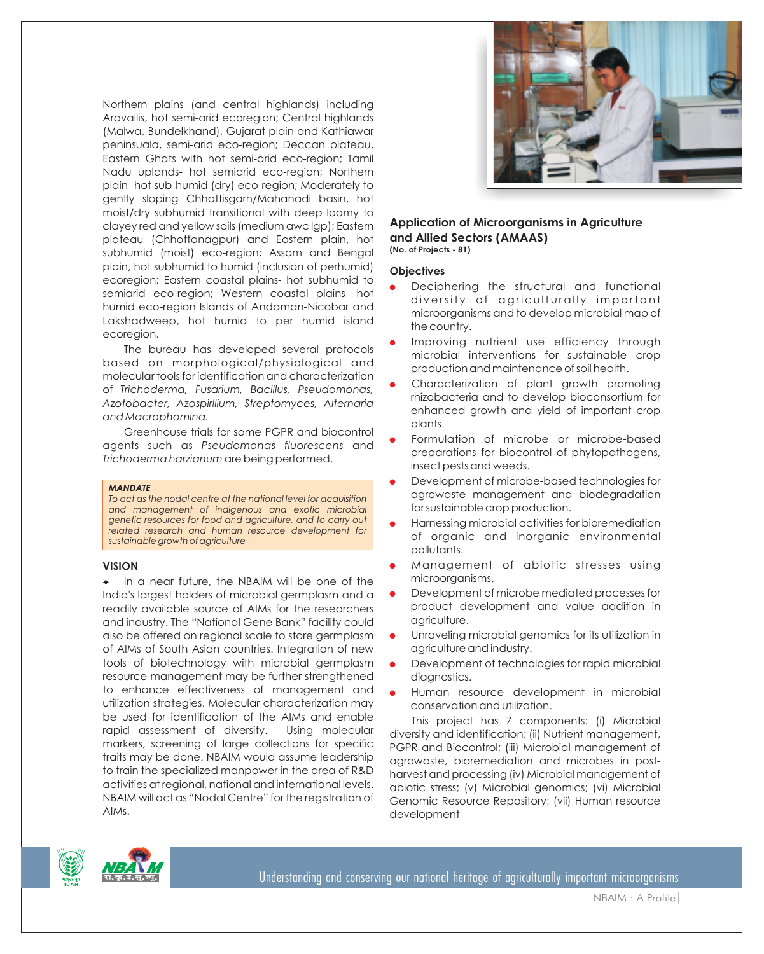Northern plains (and central highlands) including Aravallis, hot semi-arid ecoregion; Central highlands (Malwa, Bundelkhand), Gujarat plain and Kathiawar peninsuala, semi-arid eco-region; Deccan plateau, Eastern Ghats with hot semi-arid eco-region; Tamil Nadu uplands- hot semiarid eco-region; Northern plain- hot sub-humid (dry) eco-region; Moderately to gently sloping Chhattisgarh/Mahanadi basin, hot moist/dry subhumid transitional with deep loamy to clayey red and yellow soils (medium awc lgp); Eastern plateau (Chhottanagpur) and Eastern plain, hot subhumid (moist) eco-region; Assam and Bengal plain, hot subhumid to humid (inclusion of perhumid) ecoregion; Eastern coastal plains- hot subhumid to semiarid eco-region; Western coastal plains- hot humid eco-region Islands of Andaman-Nicobar and Lakshadweep, hot humid to per humid island ecoregion.

The bureau has developed several protocols based on morphological/physiological and molecular tools for identification and characterization of *Trichoderma, Fusarium, Bacillus, Pseudomonas, Azotobacter, Azospirllium, Streptomyces, Alternaria and Macrophomina.*

Greenhouse trials for some PGPR and biocontrol agents such as *Pseudomonas fluorescens* and *Trichoderma harzianum* are being performed.

#### *MANDATE*

*To act as the nodal centre at the national level for acquisition and management of indigenous and exotic microbial genetic resources for food and agriculture, and to carry out related research and human resource development for sustainable growth of agriculture*

## **VISION**

In a near future, the NBAIM will be one of the India's largest holders of microbial germplasm and a readily available source of AIMs for the researchers and industry. The "National Gene Bank" facility could also be offered on regional scale to store germplasm of AIMs of South Asian countries. Integration of new tools of biotechnology with microbial germplasm resource management may be further strengthened to enhance effectiveness of management and utilization strategies. Molecular characterization may be used for identification of the AIMs and enable rapid assessment of diversity. Using molecular markers, screening of large collections for specific traits may be done. NBAIM would assume leadership to train the specialized manpower in the area of R&D activities at regional, national and international levels. NBAIM will act as "Nodal Centre" for the registration of AIMs.



## **Application of Microorganisms in Agriculture and Allied Sectors (AMAAS) (No. of Projects - 81)**

## **Objectives**

- diversity of agriculturally important microorganisms and to develop microbial map of the country. ● Deciphering the structural and functional
- **•** Improving nutrient use efficiency through microbial interventions for sustainable crop production and maintenance of soil health.
- Characterization of plant growth promoting rhizobacteria and to develop bioconsortium for enhanced growth and yield of important crop plants.
- **•** Formulation of microbe or microbe-based preparations for biocontrol of phytopathogens, insect pests and weeds.
- Development of microbe-based technologies for agrowaste management and biodegradation for sustainable crop production.
- Harnessing microbial activities for bioremediation of organic and inorganic environmental pollutants.
- Management of abiotic stresses using microorganisms.
- Development of microbe mediated processes for product development and value addition in agriculture.
- Unraveling microbial genomics for its utilization in agriculture and industry.
- Development of technologies for rapid microbial diagnostics.
- Human resource development in microbial conservation and utilization.

This project has 7 components: (i) Microbial diversity and identification; (ii) Nutrient management, PGPR and Biocontrol; (iii) Microbial management of agrowaste, bioremediation and microbes in postharvest and processing (iv) Microbial management of abiotic stress; (v) Microbial genomics; (vi) Microbial Genomic Resource Repository; (vii) Human resource development





NBAIM : A Profile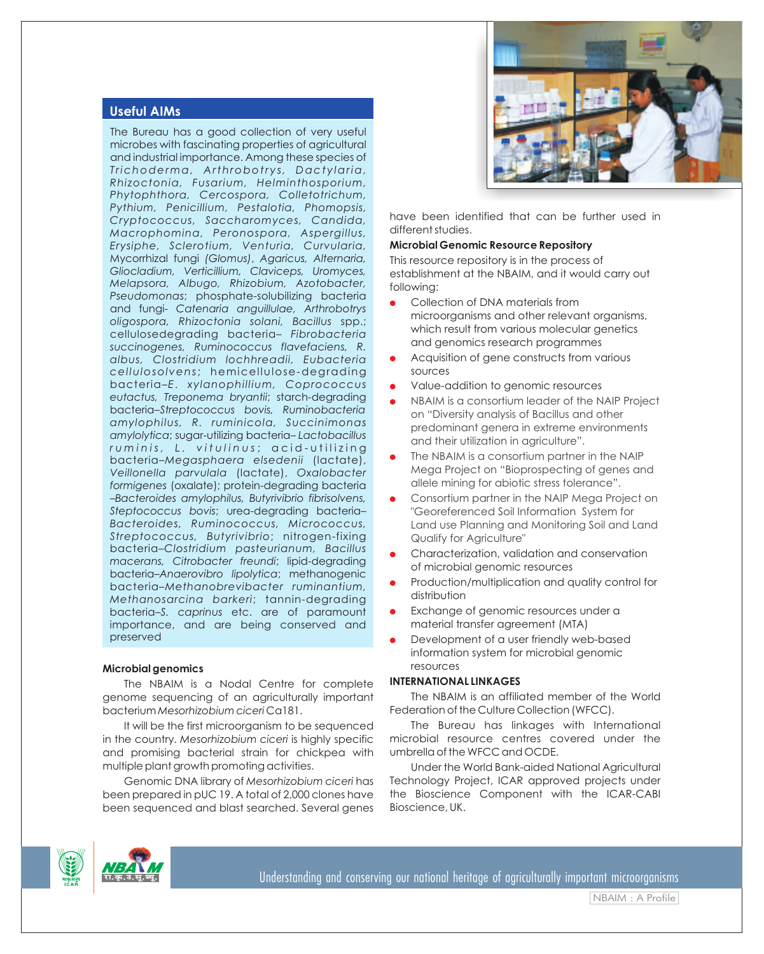## **Useful AIMs**

The Bureau has a good collection of very useful microbes with fascinating properties of agricultural and industrial importance. Among these species of *T richoderma, Arthrobotr y s, Dact y laria, Rhizoctonia, Fusarium, Helminthosporium, Phytophthora, Cercospora, Colletotrichum, Pythium, Penicillium, Pestalotia, Phomopsis, Cryptococcus, Saccharomyces, Candida, Macrophomina, Peronospora, Aspergillus, Erysiphe, Sclerotium, Venturia, Curvularia,* Mycorrhizal fungi *(Glomus)*, *Agaricus, Alternaria, Gliocladium, Verticillium, Claviceps, Uromyces, Melapsora, Albugo, Rhizobium, Azotobacter, Pseudomonas*; phosphate-solubilizing bacteria and fungi- *Catenaria anguillulae, Arthrobotrys oligospora, Rhizoctonia solani, Bacillus* spp.; cellulosedegrading bacteria– *Fibrobacteria succinogenes, Ruminococcus flavefaciens, R. albus, Clostridium lochhreadii, Eubacteria cel lulosolvens*; hemicel lulose-degrading bacteria–*E*. *xylanophillium, Coprococcus eutactus, Treponema bryantii*; starch-degrading bacteria–*Streptococcus bovis, Ruminobacteria amylophilus, R. ruminicola, Succinimonas amylolytica*; sugar-utilizing bacteria– *Lactobacillus r u m i n i s , L . v i t u l i n u s* ; a c i d - u t i l i z i n g bacteria–*Megasphaera elsedenii* (lactate), *Veillonella parvulala* (lactate), *Oxalobacter formigenes* (oxalate); protein-degrading bacteria –*Bacteroides amylophilus, Butyrivibrio fibrisolvens, Steptococcus bovis*; urea-degrading bacteria– *Bacteroides, Ruminococcus, Micrococcus, Streptococcus, Butyrivibrio*; nitrogen-fixing bacteria–*Clostridium pasteurianum, Bacillus macerans, Citrobacter freundi*; lipid-degrading bacteria–*Anaerovibro lipolytica*; methanogenic bacteria–*Methanobrevibacter ruminantium, Methanosarcina barkeri*; tannin-degrading bacteria–*S. caprinus* etc. are of paramount importance, and are being conserved and preserved

## **Microbial genomics**

The NBAIM is a Nodal Centre for complete genome sequencing of an agriculturally important bacterium *Mesorhizobium ciceri* Ca181.

It will be the first microorganism to be sequenced in the country. *Mesorhizobium ciceri* is highly specific and promising bacterial strain for chickpea with multiple plant growth promoting activities.

Genomic DNA library of *Mesorhizobium ciceri* has been prepared in pUC 19. A total of 2,000 clones have been sequenced and blast searched. Several genes



have been identified that can be further used in different studies.

## **Microbial Genomic Resource Repository**

This resource repository is in the process of establishment at the NBAIM, and it would carry out following:

- Collection of DNA materials from microorganisms and other relevant organisms, which result from various molecular genetics and genomics research programmes
- Acquisition of gene constructs from various sources
- Value-addition to genomic resources
- NBAIM is a consortium leader of the NAIP Project on "Diversity analysis of Bacillus and other predominant genera in extreme environments and their utilization in agriculture".
- The NBAIM is a consortium partner in the NAIP Mega Project on "Bioprospecting of genes and allele mining for abiotic stress tolerance".
- Consortium partner in the NAIP Mega Project on "Georeferenced Soil Information System for Land use Planning and Monitoring Soil and Land Qualify for Agriculture"
- Characterization, validation and conservation of microbial genomic resources
- Production/multiplication and quality control for distribution
- Exchange of genomic resources under a material transfer agreement (MTA)
- Development of a user friendly web-based information system for microbial genomic resources

## **INTERNATIONAL LINKAGES**

The NBAIM is an affiliated member of the World Federation of the Culture Collection (WFCC).

The Bureau has linkages with International microbial resource centres covered under the umbrella of the WFCC and OCDE.

Under the World Bank-aided National Agricultural Technology Project, ICAR approved projects under the Bioscience Component with the ICAR-CABI Bioscience, UK.





NBAIM : A Profile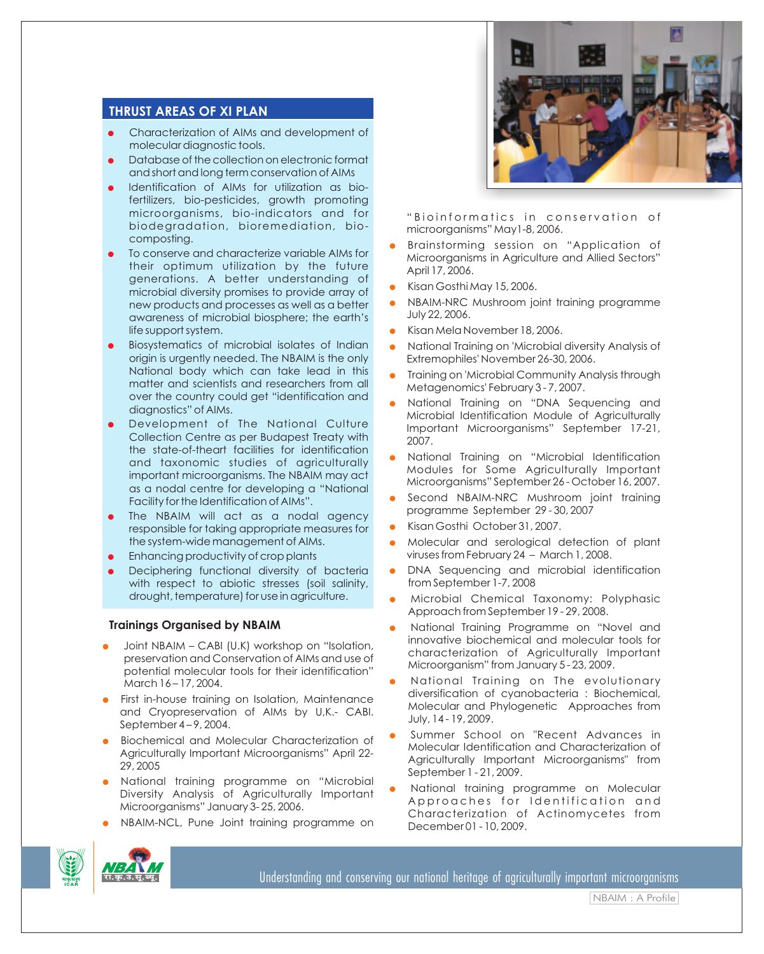## **THRUST AREAS OF XI PLAN**

- Characterization of AIMs and development of molecular diagnostic tools.
- Database of the collection on electronic format and short and long term conservation of AIMs
- Identification of AIMs for utilization as biofertilizers, bio-pesticides, growth promoting microorganisms, bio-indicators and for biodegradation, bioremediation, biocomposting.
- To conserve and characterize variable AIMs for their optimum utilization by the future generations. A better understanding of microbial diversity promises to provide array of new products and processes as well as a better awareness of microbial biosphere; the earth's life support system.
- Biosystematics of microbial isolates of Indian origin is urgently needed. The NBAIM is the only National body which can take lead in this matter and scientists and researchers from all over the country could get "identification and diagnostics" of AIMs.
- Development of The National Culture Collection Centre as per Budapest Treaty with the state-of-theart facilities for identification and taxonomic studies of agriculturally important microorganisms. The NBAIM may act as a nodal centre for developing a "National Facility for the Identification of AIMs".
- The NBAIM will act as a nodal agency responsible for taking appropriate measures for the system-wide management of AIMs.
- Enhancing productivity of crop plants
- Deciphering functional diversity of bacteria with respect to abiotic stresses (soil salinity, drought, temperature) for use in agriculture.

## **Trainings Organised by NBAIM**

- Joint NBAIM CABI (U.K) workshop on "Isolation, preservation and Conservation of AIMs and use of potential molecular tools for their identification" March 16 – 17, 2004.
- First in-house training on Isolation, Maintenance and Cryopreservation of AIMs by U,K.- CABI. September 4 – 9, 2004.
- Biochemical and Molecular Characterization of Agriculturally Important Microorganisms" April 22- 29, 2005
- National training programme on "Microbial Diversity Analysis of Agriculturally Important Microorganisms" January 3- 25, 2006.
- NBAIM-NCL, Pune Joint training programme on



"Bioinformatics in conservation of microorganisms" May1-8, 2006.

- Brainstorming session on "Application of Brainstorming session on "Application of Microorganisms in Agriculture and Allied Sectors" April 17, 2006.
- Kisan Gosthi May 15, 2006.
- NBAIM-NRC Mushroom joint training programme July 22, 2006.
- Kisan Mela November 18, 2006.
- National Training on 'Microbial diversity Analysis of Extremophiles' November 26-30, 2006.
- Training on 'Microbial Community Analysis through Metagenomics' February 3 - 7, 2007.
- National Training on "DNA Sequencing and Microbial Identification Module of Agriculturally Important Microorganisms" September 17-21, 2007. Training on 'Microbial Community Analysis through<br>Metagenomics' February 3 - 7, 2007.<br>National Training on "DNA Sequencing and<br>Microbial Identification Module of Agriculturally<br>Important Microorganisms" September 17-21, ● Nat
- National Training on "Microbial Identification Modules for Some Agriculturally Important Modules for Some Agriculturally Important Microorganisms" September 26 - October 16, 2007.
- Microorganisms" September 26 October 16, 2007.<br>Second NBAIM-NRC Mushroom joint training & programme September 29 - 30, 2007
- Kisan Gosthi October 31, 2007.
- Molecular and serological detection of plant viruses from February 24 – March 1, 2008. 2008.
- DNA Sequencing and microbial identification from September 1-7, 2008 ● DNA Sequencing and microbial identification<br>fromSeptember 1-7,2008<br>● Microbial Chemical Taxonomy: Polyphasic
- Approach from September 19 29, 2008.
- National Training Programme on "Novel and innovative biochemical and molecular tools for National Training Programme on "Novel and<br>innovative biochemical and molecular tools for<br>characterization of Agriculturally Important Microorganism" from January 5 - 23, 2009.
- National Training on The evolutionary diversification of cyanobacteria : Biochemical, Molecular and Phylogenetic Approaches from July, 14 - 19, 2009. diversification of cyanobacteria : Biochemical,<br>Molecular and Phylogenetic Approaches from<br>July, 14-19, 2009.<br>Summer School on "Recent Advances in
- Summer School on "Recent Advances in Molecular Identification and Characterization of Molecular Identification and Characterization of<br>Agriculturally Important Microorganisms" from September 1 - 21, 2009.
- National training programme on Molecular National training programme on Molecular Approaches for Identification and Characterization of Actinomycetes from Characterization of Actinomycetes from December 01 - 10, 2009.





Understanding and conserving our national heritage of agriculturally important microorganisms